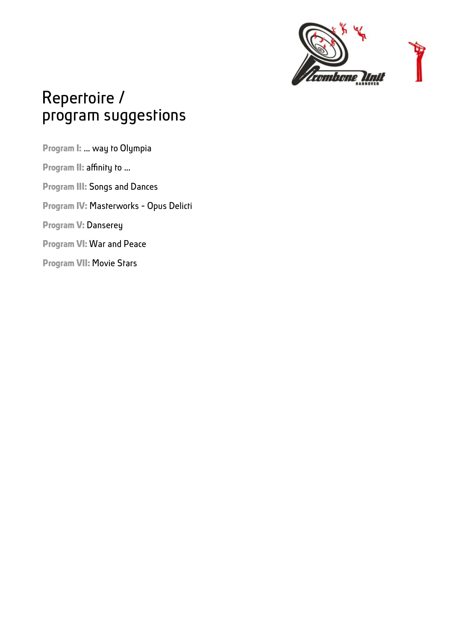

# Repertoire / program suggestions

**Program I:** ... way to Olympia **Program II: affinity to ... Program III:** Songs and Dances **Program IV:** Masterworks - Opus Delicti **Program V:** Danserey **Program VI:** War and Peace **Program VII:** Movie Stars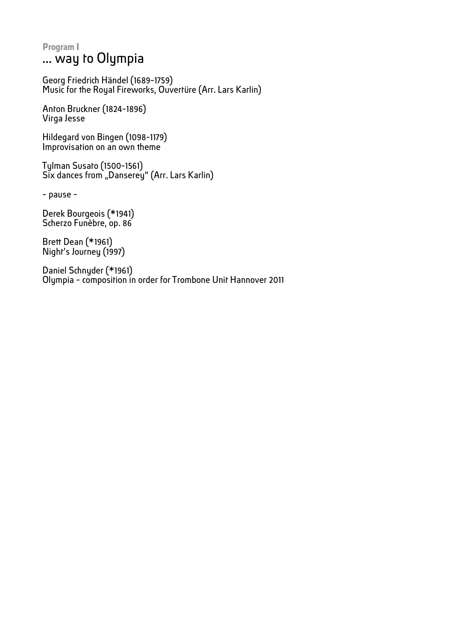#### **Program I** ... way to Olympia

Georg Friedrich Händel (1689-1759) Music for the Royal Fireworks, Ouvertüre (Arr. Lars Karlin)

Anton Bruckner (1824-1896) Virga Jesse

Hildegard von Bingen (1098-1179) Improvisation on an own theme

Tylman Susato (1500-1561) Six dances from "Danserey" (Arr. Lars Karlin)

- pause -

Derek Bourgeois (\*1941) Scherzo Funèbre, op. 86

Brett Dean (\*1961) Night's Journey (1997)

Daniel Schnyder (\*1961) Olympia - composition in order for Trombone Unit Hannover 2011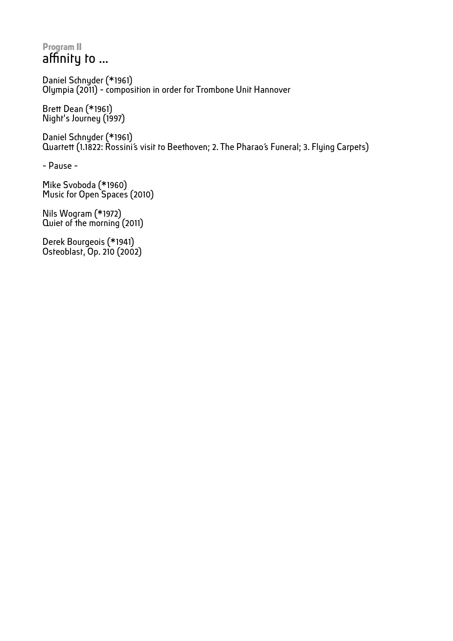## **Program II** affinity to ...

Daniel Schnyder (\*1961) Olympia (2011) - composition in order for Trombone Unit Hannover

Brett Dean (\*1961) Night's Journey (1997)

Daniel Schnyder (\*1961) Quartett (1.1822: Rossini's visit to Beethoven; 2. The Pharao's Funeral; 3. Flying Carpets)

- Pause -

Mike Svoboda (\*1960) Music for Open Spaces (2010)

Nils Wogram (\*1972) Quiet of the morning (2011)

Derek Bourgeois (\*1941) Osteoblast, Op. 210 (2002)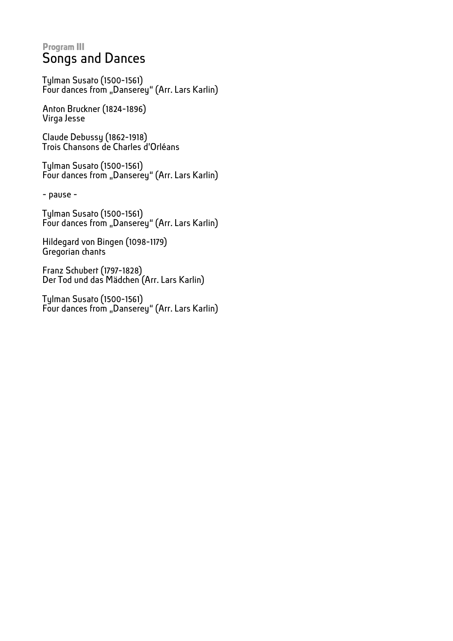## **Program III** Songs and Dances

Tylman Susato (1500-1561) Four dances from "Danserey" (Arr. Lars Karlin)

Anton Bruckner (1824-1896) Virga Jesse

Claude Debussy (1862-1918) Trois Chansons de Charles d'Orléans

Tylman Susato (1500-1561) Four dances from "Danserey" (Arr. Lars Karlin)

- pause -

Tylman Susato (1500-1561) Four dances from "Danserey" (Arr. Lars Karlin)

Hildegard von Bingen (1098-1179) Gregorian chants

Franz Schubert (1797-1828) Der Tod und das Mädchen (Arr. Lars Karlin)

Tylman Susato (1500-1561) Four dances from "Danserey" (Arr. Lars Karlin)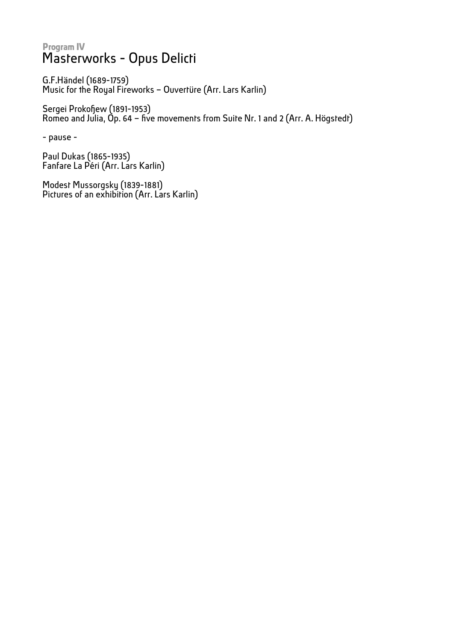## **Program IV** Masterworks - Opus Delicti

G.F.Händel (1689-1759) Music for the Royal Fireworks – Ouvertüre (Arr. Lars Karlin)

Sergei Prokofew (1891-1953) Romeo and Julia, Op. 64 – fve movements from Suite Nr. 1 and 2 (Arr. A. Högstedt)

- pause -

Paul Dukas (1865-1935) Fanfare La Péri (Arr. Lars Karlin)

Modest Mussorgsky (1839-1881) Pictures of an exhibition (Arr. Lars Karlin)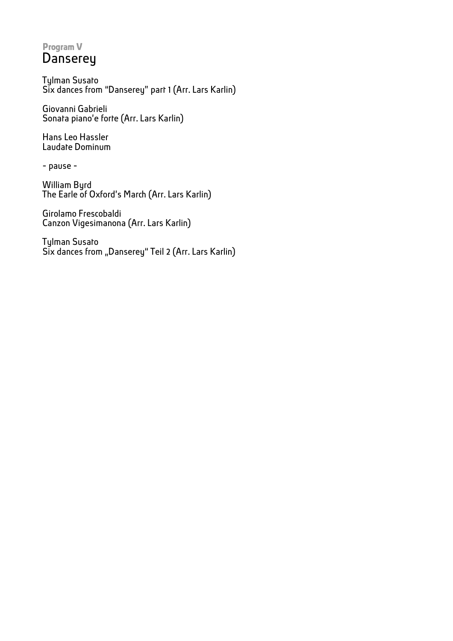## **Program V Danserey**

Tylman Susato Six dances from "Danserey" part 1 (Arr. Lars Karlin)

Giovanni Gabrieli Sonata piano'e forte (Arr. Lars Karlin)

Hans Leo Hassler Laudate Dominum

- pause -

William Byrd The Earle of Oxford's March (Arr. Lars Karlin)

Girolamo Frescobaldi Canzon Vigesimanona (Arr. Lars Karlin)

Tylman Susato Six dances from "Danserey" Teil 2 (Arr. Lars Karlin)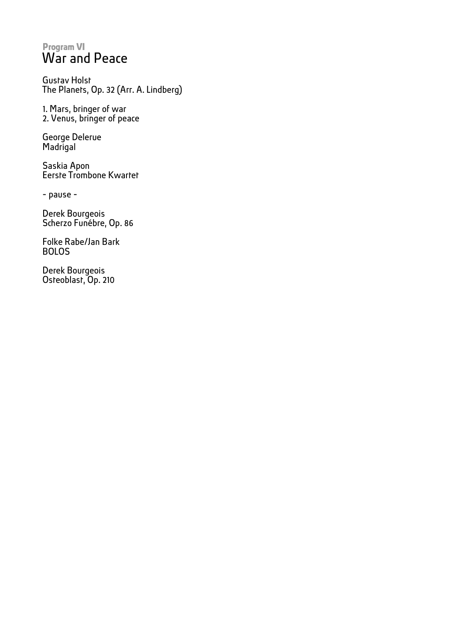## **Program VI** War and Peace

Gustav Holst The Planets, Op. 32 (Arr. A. Lindberg)

1. Mars, bringer of war 2. Venus, bringer of peace

George Delerue Madrigal

Saskia Apon Eerste Trombone Kwartet

- pause -

Derek Bourgeois Scherzo Funébre, Op. 86

Folke Rabe/Jan Bark BOLOS

Derek Bourgeois Osteoblast, Op. 210